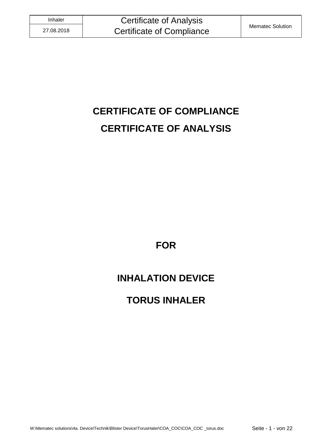# **CERTIFICATE OF COMPLIANCE CERTIFICATE OF ANALYSIS**

**FOR**

# **INHALATION DEVICE**

# **TORUS INHALER**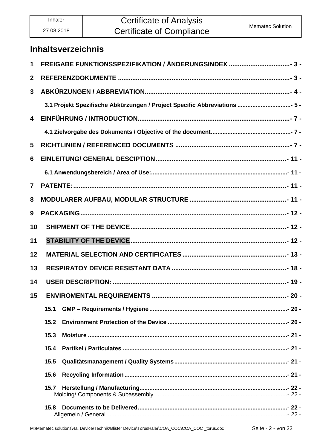### **Certificate of Analysis Certificate of Compliance**

### **Inhaltsverzeichnis**

| 1                       |                                                                           |  |  |
|-------------------------|---------------------------------------------------------------------------|--|--|
| $\mathbf{2}$            |                                                                           |  |  |
| $\mathbf{3}$            |                                                                           |  |  |
|                         | 3.1 Projekt Spezifische Abkürzungen / Project Specific Abbreviations  5 - |  |  |
| $\overline{\mathbf{4}}$ |                                                                           |  |  |
|                         |                                                                           |  |  |
| 5                       |                                                                           |  |  |
| 6                       |                                                                           |  |  |
|                         |                                                                           |  |  |
| $\overline{7}$          |                                                                           |  |  |
| 8                       |                                                                           |  |  |
| 9                       |                                                                           |  |  |
| 10                      |                                                                           |  |  |
| 11                      |                                                                           |  |  |
| 12                      |                                                                           |  |  |
| 13                      |                                                                           |  |  |
| 14                      |                                                                           |  |  |
| 15                      | ENVIROMENTAL REQUIREMENTS                                                 |  |  |
|                         | 15.1                                                                      |  |  |
|                         | 15.2                                                                      |  |  |
|                         | 15.3                                                                      |  |  |
|                         | 15.4                                                                      |  |  |
|                         | 15.5                                                                      |  |  |
|                         | 15.6                                                                      |  |  |
|                         | 15.7                                                                      |  |  |
|                         | 15.8                                                                      |  |  |
|                         |                                                                           |  |  |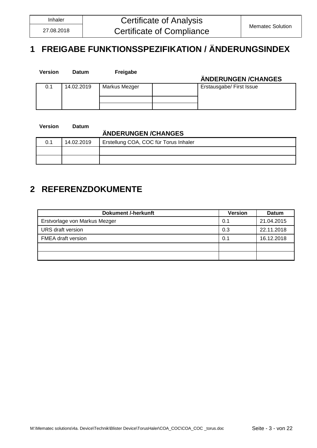# <span id="page-2-0"></span>**1 FREIGABE FUNKTIONSSPEZIFIKATION / ÄNDERUNGSINDEX**

| <b>Version</b> | <b>Datum</b> | Freigabe      | ÄNDERUNGEN / CHANGES     |
|----------------|--------------|---------------|--------------------------|
| 0.1            | 14.02.2019   | Markus Mezger | Erstausgabe/ First Issue |
|                |              |               |                          |

**Version Datum**

#### **ÄNDERUNGEN /CHANGES**

| 0.1 | 14.02.2019 | Erstellung COA, COC für Torus Inhaler |
|-----|------------|---------------------------------------|
|     |            |                                       |
|     |            |                                       |

### <span id="page-2-1"></span>**2 REFERENZDOKUMENTE**

| <b>Dokument /-herkunft</b>    | <b>Version</b> | <b>Datum</b> |
|-------------------------------|----------------|--------------|
| Erstvorlage von Markus Mezger | 0.1            | 21.04.2015   |
| URS draft version             | 0.3            | 22.11.2018   |
| <b>FMEA</b> draft version     | 0.1            | 16.12.2018   |
|                               |                |              |
|                               |                |              |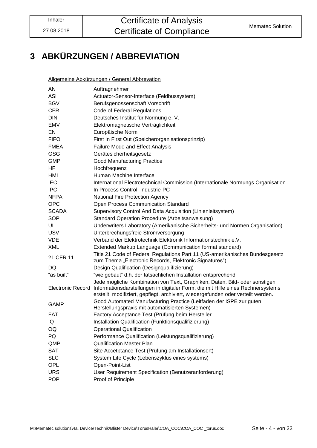# <span id="page-3-0"></span>**3 ABKÜRZUNGEN / ABBREVIATION**

Allgemeine Abkürzungen / General Abbrevation

| AN                       | Auftragnehmer                                                                                                                                                                                                                                      |
|--------------------------|----------------------------------------------------------------------------------------------------------------------------------------------------------------------------------------------------------------------------------------------------|
| ASi                      | Actuator-Sensor-Interface (Feldbussystem)                                                                                                                                                                                                          |
| <b>BGV</b>               | Berufsgenossenschaft Vorschrift                                                                                                                                                                                                                    |
| <b>CFR</b>               | Code of Federal Regulations                                                                                                                                                                                                                        |
| <b>DIN</b>               | Deutsches Institut für Normung e. V.                                                                                                                                                                                                               |
| EMV                      | Elektromagnetische Verträglichkeit                                                                                                                                                                                                                 |
| EN                       | Europäische Norm                                                                                                                                                                                                                                   |
| <b>FIFO</b>              | First In First Out (Speicherorganisationsprinzip)                                                                                                                                                                                                  |
| <b>FMEA</b>              | Failure Mode and Effect Analysis                                                                                                                                                                                                                   |
| <b>GSG</b>               | Gerätesicherheitsgesetz                                                                                                                                                                                                                            |
| <b>GMP</b>               | <b>Good Manufacturing Practice</b>                                                                                                                                                                                                                 |
| HF                       | Hochfrequenz                                                                                                                                                                                                                                       |
| HMI                      | Human Machine Interface                                                                                                                                                                                                                            |
| <b>IEC</b>               | International Electrotechnical Commission (Internationale Normungs Organisation                                                                                                                                                                    |
| <b>IPC</b>               | In Process Control, Industrie-PC                                                                                                                                                                                                                   |
| <b>NFPA</b>              | National Fire Protection Agency                                                                                                                                                                                                                    |
| <b>OPC</b>               | Open Process Communication Standard                                                                                                                                                                                                                |
| <b>SCADA</b>             | Supervisory Control And Data Acquisition (Linienleitsystem)                                                                                                                                                                                        |
| <b>SOP</b>               | Standard Operation Procedure (Arbeitsanweisung)                                                                                                                                                                                                    |
| UL                       | Underwriters Laboratory (Amerikanische Sicherheits- und Normen Organisation)                                                                                                                                                                       |
| <b>USV</b>               | Unterbrechungsfreie Stromversorgung                                                                                                                                                                                                                |
| <b>VDE</b>               | Verband der Elektrotechnik Elektronik Informationstechnik e.V.                                                                                                                                                                                     |
| XML                      | Extended Markup Language (Communication format standard)                                                                                                                                                                                           |
| 21 CFR 11                | Title 21 Code of Federal Regulations Part 11 (US-amerikanisches Bundesgesetz<br>zum Thema "Electronic Records, Elektronic Signatures")                                                                                                             |
| DQ.                      | Design Qualification (Designqualifizierung)                                                                                                                                                                                                        |
| "as built"               | "wie gebaut" d.h. der tatsächlichen Installation entsprechend                                                                                                                                                                                      |
| <b>Electronic Record</b> | Jede mögliche Kombination von Text, Graphiken, Daten, Bild- oder sonstigen<br>Informationsdarstellungen in digitaler Form, die mit Hilfe eines Rechnersystems<br>erstellt, modifiziert, gepflegt, archiviert, wiedergefunden oder verteilt werden. |
| <b>GAMP</b>              | Good Automated Manufacturing Practice (Leitfaden der ISPE zur guten<br>Herstellungspraxis mit automatisierten Systemen)                                                                                                                            |
| <b>FAT</b>               | Factory Acceptance Test (Prüfung beim Hersteller                                                                                                                                                                                                   |
| IQ                       | Installation Qualification (Funktionsqualifizierung)                                                                                                                                                                                               |
| OQ                       | <b>Operational Qualification</b>                                                                                                                                                                                                                   |
| PQ                       | Performance Qualification (Leistungsqualifizierung)                                                                                                                                                                                                |
| QMP                      | <b>Qualification Master Plan</b>                                                                                                                                                                                                                   |
| <b>SAT</b>               | Site Accetptance Test (Prüfung am Installationsort)                                                                                                                                                                                                |
| <b>SLC</b>               | System Life Cycle (Lebenszyklus eines systems)                                                                                                                                                                                                     |
| OPL                      | Open-Point-List                                                                                                                                                                                                                                    |
| <b>URS</b>               | User Requirement Specification (Benutzeranforderung)                                                                                                                                                                                               |
| <b>POP</b>               | Proof of Principle                                                                                                                                                                                                                                 |
|                          |                                                                                                                                                                                                                                                    |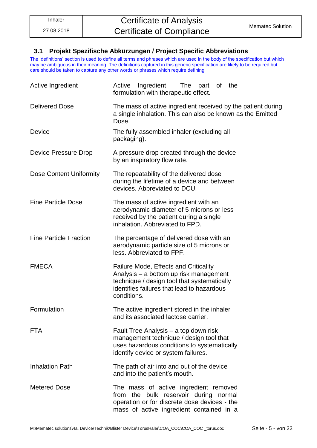#### <span id="page-4-0"></span>**3.1 Projekt Spezifische Abkürzungen / Project Specific Abbreviations**

The 'definitions' section is used to define all terms and phrases which are used in the body of the specification but which may be ambiguous in their meaning. The definitions captured in this generic specification are likely to be required but care should be taken to capture any other words or phrases which require defining.

| Active Ingredient              | Active Ingredient<br>The part of the<br>formulation with therapeutic effect.                                                                                                                       |  |  |
|--------------------------------|----------------------------------------------------------------------------------------------------------------------------------------------------------------------------------------------------|--|--|
| <b>Delivered Dose</b>          | The mass of active ingredient received by the patient during<br>a single inhalation. This can also be known as the Emitted<br>Dose.                                                                |  |  |
| <b>Device</b>                  | The fully assembled inhaler (excluding all<br>packaging).                                                                                                                                          |  |  |
| Device Pressure Drop           | A pressure drop created through the device<br>by an inspiratory flow rate.                                                                                                                         |  |  |
| <b>Dose Content Uniformity</b> | The repeatability of the delivered dose<br>during the lifetime of a device and between<br>devices. Abbreviated to DCU.                                                                             |  |  |
| <b>Fine Particle Dose</b>      | The mass of active ingredient with an<br>aerodynamic diameter of 5 microns or less<br>received by the patient during a single<br>inhalation. Abbreviated to FPD.                                   |  |  |
| <b>Fine Particle Fraction</b>  | The percentage of delivered dose with an<br>aerodynamic particle size of 5 microns or<br>less. Abbreviated to FPF.                                                                                 |  |  |
| <b>FMECA</b>                   | <b>Failure Mode, Effects and Criticality</b><br>Analysis - a bottom up risk management<br>technique / design tool that systematically<br>identifies failures that lead to hazardous<br>conditions. |  |  |
| Formulation                    | The active ingredient stored in the inhaler<br>and its associated lactose carrier.                                                                                                                 |  |  |
| <b>FTA</b>                     | Fault Tree Analysis - a top down risk<br>management technique / design tool that<br>uses hazardous conditions to systematically<br>identify device or system failures.                             |  |  |
| <b>Inhalation Path</b>         | The path of air into and out of the device<br>and into the patient's mouth.                                                                                                                        |  |  |
| <b>Metered Dose</b>            | The mass of active ingredient removed<br>from the bulk reservoir during normal<br>operation or for discrete dose devices - the<br>mass of active ingredient contained in a                         |  |  |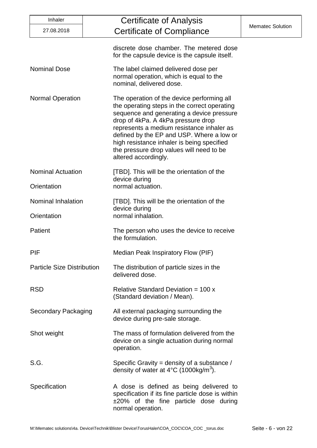| Inhaler                                                                                                            | Certificate of Analysis                                                                                                                                                                                                                                                                                                                                                                   |                         |
|--------------------------------------------------------------------------------------------------------------------|-------------------------------------------------------------------------------------------------------------------------------------------------------------------------------------------------------------------------------------------------------------------------------------------------------------------------------------------------------------------------------------------|-------------------------|
| 27.08.2018                                                                                                         | Certificate of Compliance                                                                                                                                                                                                                                                                                                                                                                 | <b>Mematec Solution</b> |
|                                                                                                                    | discrete dose chamber. The metered dose<br>for the capsule device is the capsule itself.                                                                                                                                                                                                                                                                                                  |                         |
| <b>Nominal Dose</b>                                                                                                | The label claimed delivered dose per<br>normal operation, which is equal to the<br>nominal, delivered dose.                                                                                                                                                                                                                                                                               |                         |
| <b>Normal Operation</b>                                                                                            | The operation of the device performing all<br>the operating steps in the correct operating<br>sequence and generating a device pressure<br>drop of 4kPa. A 4kPa pressure drop<br>represents a medium resistance inhaler as<br>defined by the EP and USP. Where a low or<br>high resistance inhaler is being specified<br>the pressure drop values will need to be<br>altered accordingly. |                         |
| <b>Nominal Actuation</b>                                                                                           | [TBD]. This will be the orientation of the<br>device during                                                                                                                                                                                                                                                                                                                               |                         |
| normal actuation.<br>Orientation                                                                                   |                                                                                                                                                                                                                                                                                                                                                                                           |                         |
| Nominal Inhalation<br>Orientation                                                                                  | [TBD]. This will be the orientation of the<br>device during<br>normal inhalation.                                                                                                                                                                                                                                                                                                         |                         |
|                                                                                                                    |                                                                                                                                                                                                                                                                                                                                                                                           |                         |
| <b>Patient</b>                                                                                                     | The person who uses the device to receive<br>the formulation.                                                                                                                                                                                                                                                                                                                             |                         |
| PIF                                                                                                                | Median Peak Inspiratory Flow (PIF)                                                                                                                                                                                                                                                                                                                                                        |                         |
| <b>Particle Size Distribution</b>                                                                                  | The distribution of particle sizes in the<br>delivered dose.                                                                                                                                                                                                                                                                                                                              |                         |
| <b>RSD</b>                                                                                                         | Relative Standard Deviation = $100x$<br>(Standard deviation / Mean).                                                                                                                                                                                                                                                                                                                      |                         |
| <b>Secondary Packaging</b>                                                                                         | All external packaging surrounding the<br>device during pre-sale storage.                                                                                                                                                                                                                                                                                                                 |                         |
| Shot weight                                                                                                        | The mass of formulation delivered from the<br>device on a single actuation during normal<br>operation.                                                                                                                                                                                                                                                                                    |                         |
| S.G.<br>Specific Gravity = density of a substance /<br>density of water at $4^{\circ}$ C (1000kg/m <sup>3</sup> ). |                                                                                                                                                                                                                                                                                                                                                                                           |                         |
| Specification                                                                                                      | A dose is defined as being delivered to<br>specification if its fine particle dose is within<br>$\pm 20\%$ of the fine particle dose during<br>normal operation.                                                                                                                                                                                                                          |                         |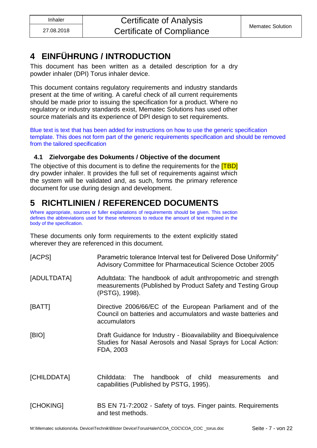### <span id="page-6-0"></span>**4 EINFÜHRUNG / INTRODUCTION**

This document has been written as a detailed description for a dry powder inhaler (DPI) Torus inhaler device.

This document contains regulatory requirements and industry standards present at the time of writing. A careful check of all current requirements should be made prior to issuing the specification for a product. Where no regulatory or industry standards exist, Mematec Solutions has used other source materials and its experience of DPI design to set requirements.

Blue text is text that has been added for instructions on how to use the generic specification template. This does not form part of the generic requirements specification and should be removed from the tailored specification

### <span id="page-6-1"></span>**4.1 Zielvorgabe des Dokuments / Objective of the document**

<span id="page-6-2"></span>The objective of this document is to define the requirements for the **[TBD]** dry powder inhaler. It provides the full set of requirements against which the system will be validated and, as such, forms the primary reference document for use during design and development.

## **5 RICHTLINIEN / REFERENCED DOCUMENTS**

Where appropriate, sources or fuller explanations of requirements should be given. This section defines the abbreviations used for these references to reduce the amount of text required in the body of the specification.

These documents only form requirements to the extent explicitly stated wherever they are referenced in this document.

| [ACPS]      | Parametric tolerance Interval test for Delivered Dose Uniformity"<br>Advisory Committee for Pharmaceutical Science October 2005                |  |
|-------------|------------------------------------------------------------------------------------------------------------------------------------------------|--|
| [ADULTDATA] | Adultdata: The handbook of adult anthropometric and strength<br>measurements (Published by Product Safety and Testing Group<br>(PSTG), 1998).  |  |
| [BATT]      | Directive 2006/66/EC of the European Parliament and of the<br>Council on batteries and accumulators and waste batteries and<br>accumulators    |  |
| [BIO]       | Draft Guidance for Industry - Bioavailability and Bioequivalence<br>Studies for Nasal Aerosols and Nasal Sprays for Local Action:<br>FDA, 2003 |  |
| [CHILDDATA] | handbook of child<br>The<br>Childdata:<br>measurements<br>and<br>capabilities (Published by PSTG, 1995).                                       |  |
| [CHOKING]   | BS EN 71-7:2002 - Safety of toys. Finger paints. Requirements<br>and test methods.                                                             |  |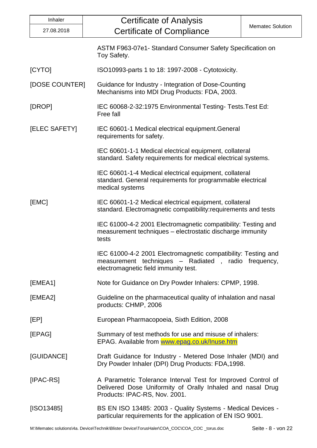| Inhaler                                                                                                                                  | <b>Certificate of Analysis</b>                                                                                                                               |                         |  |
|------------------------------------------------------------------------------------------------------------------------------------------|--------------------------------------------------------------------------------------------------------------------------------------------------------------|-------------------------|--|
| 27.08.2018                                                                                                                               | <b>Certificate of Compliance</b>                                                                                                                             | <b>Mematec Solution</b> |  |
|                                                                                                                                          | ASTM F963-07e1- Standard Consumer Safety Specification on<br>Toy Safety.                                                                                     |                         |  |
| [CYTO]                                                                                                                                   | ISO10993-parts 1 to 18: 1997-2008 - Cytotoxicity.                                                                                                            |                         |  |
| [DOSE COUNTER]                                                                                                                           | Guidance for Industry - Integration of Dose-Counting<br>Mechanisms into MDI Drug Products: FDA, 2003.                                                        |                         |  |
| [DROP]                                                                                                                                   | IEC 60068-2-32:1975 Environmental Testing-Tests. Test Ed:<br>Free fall                                                                                       |                         |  |
| [ELEC SAFETY]                                                                                                                            | IEC 60601-1 Medical electrical equipment. General<br>requirements for safety.                                                                                |                         |  |
|                                                                                                                                          | IEC 60601-1-1 Medical electrical equipment, collateral<br>standard. Safety requirements for medical electrical systems.                                      |                         |  |
|                                                                                                                                          | IEC 60601-1-4 Medical electrical equipment, collateral<br>standard. General requirements for programmable electrical<br>medical systems                      |                         |  |
| [EMC]                                                                                                                                    | IEC 60601-1-2 Medical electrical equipment, collateral<br>standard. Electromagnetic compatibility: requirements and tests                                    |                         |  |
|                                                                                                                                          | IEC 61000-4-2 2001 Electromagnetic compatibility: Testing and<br>measurement techniques - electrostatic discharge immunity<br>tests                          |                         |  |
|                                                                                                                                          | IEC 61000-4-2 2001 Electromagnetic compatibility: Testing and<br>measurement techniques - Radiated, radio frequency,<br>electromagnetic field immunity test. |                         |  |
| [EMEA1]                                                                                                                                  | Note for Guidance on Dry Powder Inhalers: CPMP, 1998.                                                                                                        |                         |  |
| [EMEA2]                                                                                                                                  | Guideline on the pharmaceutical quality of inhalation and nasal<br>products: CHMP, 2006                                                                      |                         |  |
| [EP]                                                                                                                                     | European Pharmacopoeia, Sixth Edition, 2008                                                                                                                  |                         |  |
| [EPAG]                                                                                                                                   | Summary of test methods for use and misuse of inhalers:<br>EPAG. Available from www.epag.co.uk/Inuse.htm                                                     |                         |  |
| [GUIDANCE]                                                                                                                               | Draft Guidance for Industry - Metered Dose Inhaler (MDI) and<br>Dry Powder Inhaler (DPI) Drug Products: FDA, 1998.                                           |                         |  |
| $[IPAC-RS]$                                                                                                                              | A Parametric Tolerance Interval Test for Improved Control of<br>Delivered Dose Uniformity of Orally Inhaled and nasal Drug<br>Products: IPAC-RS, Nov. 2001.  |                         |  |
| [ SO13485]<br>BS EN ISO 13485: 2003 - Quality Systems - Medical Devices -<br>particular requirements for the application of EN ISO 9001. |                                                                                                                                                              |                         |  |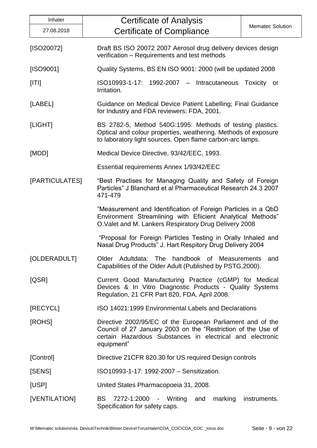| Inhaler                                                                                                                 | <b>Certificate of Analysis</b>                                                                                                                                                                        |  |  |
|-------------------------------------------------------------------------------------------------------------------------|-------------------------------------------------------------------------------------------------------------------------------------------------------------------------------------------------------|--|--|
| 27.08.2018                                                                                                              | <b>Mematec Solution</b><br><b>Certificate of Compliance</b>                                                                                                                                           |  |  |
| [ISO20072]                                                                                                              | Draft BS ISO 20072 2007 Aerosol drug delivery devices design<br>verification - Requirements and test methods                                                                                          |  |  |
| [ISO9001]                                                                                                               | Quality Systems, BS EN ISO 9001: 2000 (will be updated 2008)                                                                                                                                          |  |  |
| [ T ]                                                                                                                   | ISO10993-1-17: 1992-2007 - Intracutaneous<br>Toxicity or<br>Irritation.                                                                                                                               |  |  |
| [LABEL]                                                                                                                 | Guidance on Medical Device Patient Labelling; Final Guidance<br>for Industry and FDA reviewers: FDA, 2001.                                                                                            |  |  |
| [LIGHT]                                                                                                                 | BS 2782-5, Method 540G:1995: Methods of testing plastics.<br>Optical and colour properties, weathering. Methods of exposure<br>to laboratory light sources. Open flame carbon-arc lamps.              |  |  |
| [MDD]                                                                                                                   | Medical Device Directive, 93/42/EEC, 1993.                                                                                                                                                            |  |  |
|                                                                                                                         | Essential requirements Annex 1/93/42/EEC                                                                                                                                                              |  |  |
| [PARTICULATES]                                                                                                          | "Best Practises for Managing Quality and Safety of Foreign<br>Particles" J Blanchard et al Pharmaceutical Research 24.3 2007<br>471-479                                                               |  |  |
|                                                                                                                         | "Measurement and Identification of Foreign Particles in a QbD<br>Environment Streamlining with Efiicient Analytical Methods"<br>O. Valet and M. Lankers Respiratory Drug Delivery 2008                |  |  |
|                                                                                                                         | "Proposal for Foreign Particles Testing in Orally Inhaled and<br>Nasal Drug Products" J. Hart Respitory Drug Delivery 2004                                                                            |  |  |
| [OLDERADULT]                                                                                                            | Older Adultdata: The handbook of Measurements and<br>Capabilities of the Older Adult (Published by PSTG, 2000).                                                                                       |  |  |
| [QSR]                                                                                                                   | Current Good Manufacturing Practice (cGMP) for Medical<br>Devices & In Vitro Diagnostic Products - Quality Systems<br>Regulation, 21 CFR Part 820, FDA, April 2008.                                   |  |  |
| [RECYCL]                                                                                                                | ISO 14021:1999 Environmental Labels and Declarations                                                                                                                                                  |  |  |
| [ROHS]                                                                                                                  | Directive 2002/95/EC of the European Parliament and of the<br>Council of 27 January 2003 on the "Restriction of the Use of<br>certain Hazardous Substances in electrical and electronic<br>equipment" |  |  |
| [Control]                                                                                                               | Directive 21 CFR 820.30 for US required Design controls                                                                                                                                               |  |  |
| [SENS]                                                                                                                  | ISO10993-1-17: 1992-2007 - Sensitization.                                                                                                                                                             |  |  |
| [USP]                                                                                                                   | United States Pharmacopoeia 31, 2008.                                                                                                                                                                 |  |  |
| [VENTILATION]<br><b>BS</b><br>7272-1:2000 - Writing<br>and<br>marking<br>instruments.<br>Specification for safety caps. |                                                                                                                                                                                                       |  |  |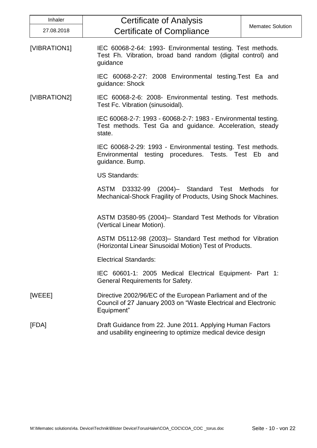| Inhaler      | <b>Certificate of Analysis</b>                                                                                                             |                         |
|--------------|--------------------------------------------------------------------------------------------------------------------------------------------|-------------------------|
| 27.08.2018   | <b>Certificate of Compliance</b>                                                                                                           | <b>Mematec Solution</b> |
| [VIBRATION1] | IEC 60068-2-64: 1993- Environmental testing. Test methods.<br>Test Fh. Vibration, broad band random (digital control) and<br>guidance      |                         |
|              | IEC 60068-2-27: 2008 Environmental testing. Test Ea and<br>guidance: Shock                                                                 |                         |
| [VIBRATION2] | IEC 60068-2-6: 2008- Environmental testing. Test methods.<br>Test Fc. Vibration (sinusoidal).                                              |                         |
|              | IEC 60068-2-7: 1993 - 60068-2-7: 1983 - Environmental testing.<br>Test methods. Test Ga and guidance. Acceleration, steady<br>state.       |                         |
|              | IEC 60068-2-29: 1993 - Environmental testing. Test methods.<br>Environmental testing procedures. Tests. Test Eb and<br>guidance. Bump.     |                         |
|              | <b>US Standards:</b>                                                                                                                       |                         |
|              | D3332-99 (2004)- Standard Test Methods for<br><b>ASTM</b><br>Mechanical-Shock Fragility of Products, Using Shock Machines.                 |                         |
|              | ASTM D3580-95 (2004)- Standard Test Methods for Vibration<br>(Vertical Linear Motion).                                                     |                         |
|              | ASTM D5112-98 (2003)– Standard Test method for Vibration<br>(Horizontal Linear Sinusoidal Motion) Test of Products.                        |                         |
|              | <b>Electrical Standards:</b>                                                                                                               |                         |
|              | IEC 60601-1: 2005 Medical Electrical Equipment- Part 1:<br><b>General Requirements for Safety.</b>                                         |                         |
| [WEEE]       | Directive 2002/96/EC of the European Parliament and of the<br>Council of 27 January 2003 on "Waste Electrical and Electronic<br>Equipment" |                         |
| [FDA]        | Draft Guidance from 22. June 2011. Applying Human Factors<br>and usability engineering to optimize medical device design                   |                         |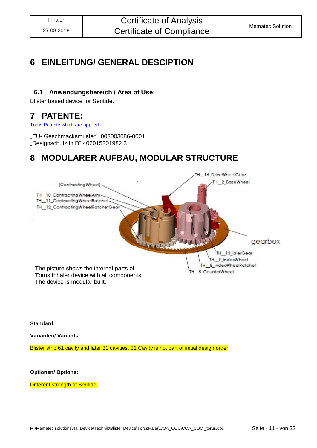### <span id="page-10-0"></span>**6 EINLEITUNG/ GENERAL DESCIPTION**

#### <span id="page-10-1"></span>**6.1 Anwendungsbereich / Area of Use:**

Blister based device for Seritide.

### <span id="page-10-2"></span>**7 PATENTE:**

Torus Patente which are applied.

<span id="page-10-3"></span>"EU- Geschmacksmuster" 003003086-0001 "Designschutz in D" 402015201982.3

### **8 MODULARER AUFBAU, MODULAR STRUCTURE**



**Standard:**

**Varianten/ Variants:**

Blister strip 61 cavity and later 31 cavities. 31 Cavity is not part of initial design order

**Optionen/ Options:**

**Different strength of Seritide**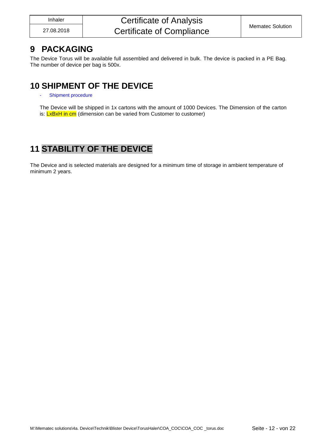### <span id="page-11-0"></span>**9 PACKAGING**

The Device Torus will be available full assembled and delivered in bulk. The device is packed in a PE Bag. The number of device per bag is 500x.

### <span id="page-11-1"></span>**10 SHIPMENT OF THE DEVICE**

Shipment procedure

The Device will be shipped in 1x cartons with the amount of 1000 Devices. The Dimension of the carton is: **LxBxH** in cm (dimension can be varied from Customer to customer)

### <span id="page-11-2"></span>**11 STABILITY OF THE DEVICE**

The Device and is selected materials are designed for a minimum time of storage in ambient temperature of minimum 2 years.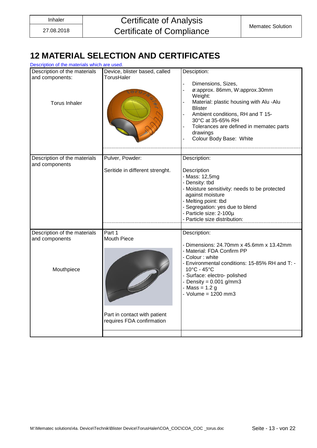### <span id="page-12-0"></span>**12 MATERIAL SELECTION AND CERTIFICATES**

| Description of the materials which are used.    |                                                           |                                                                                                                                                                                                                                                                                           |  |  |
|-------------------------------------------------|-----------------------------------------------------------|-------------------------------------------------------------------------------------------------------------------------------------------------------------------------------------------------------------------------------------------------------------------------------------------|--|--|
| Description of the materials<br>and components: | Device, blister based, called<br>TorusHaler               | Desciption:                                                                                                                                                                                                                                                                               |  |  |
| <b>Torus Inhaler</b>                            |                                                           | Dimensions, Sizes,<br>ø:approx. 86mm, W:approx.30mm<br>$\overline{a}$<br>Weight:<br>Material: plastic housing with Alu -Alu<br><b>Blister</b><br>Ambient conditions, RH and T 15-<br>30°C at 35-65% RH<br>Tolerances are defined in mematec parts<br>drawings<br>Colour Body Base: White  |  |  |
| Description of the materials                    | Pulver, Powder:                                           | Description:                                                                                                                                                                                                                                                                              |  |  |
| and components                                  | Seritide in different strenght.                           | Description<br>- Mass: 12,5mg<br>- Density: tbd<br>- Moisture sensitivity: needs to be protected<br>against moisture<br>- Melting point: tbd<br>- Segregation: yes due to blend<br>- Particle size: 2-100µ<br>- Particle size distribution:                                               |  |  |
| Description of the materials<br>and components  | Part 1<br><b>Mouth Piece</b>                              | Description:                                                                                                                                                                                                                                                                              |  |  |
| Mouthpiece                                      |                                                           | - Dimensions: 24.70mm x 45.6mm x 13.42mm<br>- Material: FDA Confirm PP<br>- Colour: white<br>- Environmental conditions: 15-85% RH and T: -<br>$10^{\circ}$ C - 45 $^{\circ}$ C<br>- Surface: electro- polished<br>- Density = $0.001$ g/mm3<br>- Mass = $1.2 g$<br>- Volume = $1200$ mm3 |  |  |
|                                                 | Part in contact with patient<br>requires FDA confirmation |                                                                                                                                                                                                                                                                                           |  |  |
|                                                 |                                                           |                                                                                                                                                                                                                                                                                           |  |  |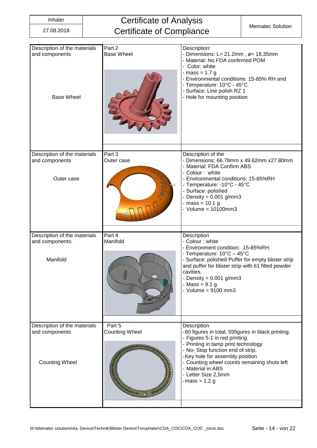| Description of the materials<br>and components<br><b>Base Wheel</b>     | Part 2<br><b>Base Wheel</b>                            | Description:<br>- Dimensions: L= 21.2mm, $\varnothing$ = 18.35mm<br>- Material: No FDA confirmed POM<br>- Color: white<br>$-mass = 1.7 g$<br>- Environmental conditions: 15-85% RH and<br>- Temperature: 10°C - 45°C<br>- Surface: Line polish RZ 1<br>- Hole for mounting position                                          |
|-------------------------------------------------------------------------|--------------------------------------------------------|------------------------------------------------------------------------------------------------------------------------------------------------------------------------------------------------------------------------------------------------------------------------------------------------------------------------------|
|                                                                         |                                                        |                                                                                                                                                                                                                                                                                                                              |
| Description of the materials<br>and components<br>Outer case            | Part 3<br>Outer case<br><b>CONFIDENTI</b><br>$\bullet$ | Description of the<br>- Dimensions: 66.78mm x 49.62mm x27.80mm<br>- Material: FDA Confirm ABS<br>- Colour: white<br>Environmental conditions: 15-85%RH<br>- Temperature: -10°C - 45°C<br>Surface: polished<br>Density = $0.001$ g/mm3<br>mass = 10.1 g<br>$-$ Volume = 10100mm3                                              |
| Description of the materials                                            | Part 4                                                 | Description                                                                                                                                                                                                                                                                                                                  |
| and components:<br>Manifold                                             | Manifold                                               | - Colour: white<br>- Environment condition: 15-85%RH<br>- Temperature: 10°C - 45°C<br>- Surface: polished Puffer for empty blister strip<br>and puffer for blister strip with 61 filled powder<br>cavities.<br>- Density = $0.001$ g/mm3<br>$-Mass = 9.1 g$<br>Volume = $9100$ mm3                                           |
| Description of the materials<br>and components<br><b>Counting Wheel</b> | Part 5<br><b>Counting Wheel</b>                        | Description<br>-60 figures in total, 55figures in black printing.<br>- Figures 5-1 in red printing.<br>Printing in tamp print technology<br>- No-Stop function end of strip.<br>-Key hole for assembly position<br>Counting wheel counts remaining shots left<br>- Material in ABS<br>- Letter Size 2,5mm<br>-mass = $1.2 g$ |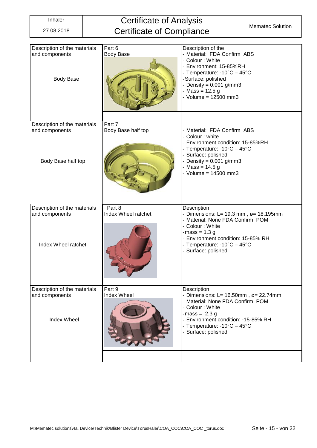| Description of the materials<br>and components<br><b>Body Base</b>    | Part 6<br><b>Body Base</b>    | Description of the<br>- Material: FDA Confirm ABS<br>- Colour: White<br>- Environment: 15-85%RH<br>- Temperature: -10°C - 45°C<br>-Surface: polished<br>Density = $0.001$ g/mm3<br>$-Mass = 12.5 g$<br>- Volume = $12500$ mm3           |
|-----------------------------------------------------------------------|-------------------------------|-----------------------------------------------------------------------------------------------------------------------------------------------------------------------------------------------------------------------------------------|
| Description of the materials<br>and components<br>Body Base half top  | Part 7<br>Body Base half top  | - Material: FDA Confirm ABS<br>- Colour: white<br>- Environment condition: 15-85%RH<br>- Temperature: -10°C - 45°C<br>Surface: polished<br>- Density = $0.001$ g/mm3<br>- Mass = 14.5 g<br>- Volume = $14500$ mm3                       |
| Description of the materials<br>and components<br>Index Wheel ratchet | Part 8<br>Index Wheel ratchet | Description<br>- Dimensions: L= 19.3 mm, $\varnothing$ = 18.195mm<br>- Material: None FDA Confirm POM<br>- Colour: White<br>-mass = $1.3 g$<br>- Environment condition: 15-85% RH<br>- Temperature: -10°C - 45°C<br>- Surface: polished |
| Description of the materials<br>and components<br><b>Index Wheel</b>  | Part 9<br>Index Wheel         | Description<br>- Dimensions: L= $16.50$ mm, ø= 22.74mm<br>- Material: None FDA Confirm POM<br>- Colour: White<br>-mass = $2.3 g$<br>- Environment condition: -15-85% RH<br>- Temperature: -10°C - 45°C<br>Surface: polished             |
|                                                                       |                               |                                                                                                                                                                                                                                         |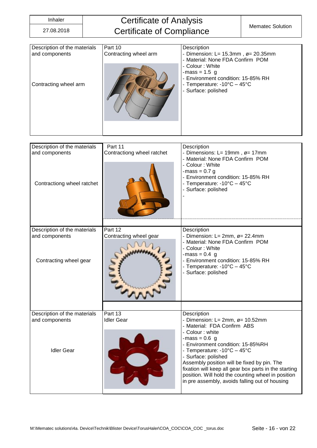| Description of the materials<br>and components<br>Contracting wheel arm      | Part 10<br>Contracting wheel arm      | Description<br>- Dimension: L= $15.3$ mm, $\varnothing$ = 20.35mm<br>- Material: None FDA Confirm POM<br>- Colour: White<br>$-mass = 1.5$ g<br>- Environment condition: 15-85% RH<br>- Temperature: -10°C - 45°C<br>- Surface: polished                                                                                                                                                                                                          |
|------------------------------------------------------------------------------|---------------------------------------|--------------------------------------------------------------------------------------------------------------------------------------------------------------------------------------------------------------------------------------------------------------------------------------------------------------------------------------------------------------------------------------------------------------------------------------------------|
| Description of the materials<br>and components<br>Contractiong wheel ratchet | Part 11<br>Contractiong wheel ratchet | Description<br>- Dimensions: L= 19mm, ø= 17mm<br>- Material: None FDA Confirm POM<br>- Colour: White<br>-mass = $0.7$ g<br>- Environment condition: 15-85% RH<br>- Temperature: -10°C - 45°C<br>- Surface: polished                                                                                                                                                                                                                              |
| Description of the materials<br>and components<br>Contracting wheel gear     | Part 12<br>Contracting wheel gear     | Description<br>- Dimension: L= 2mm, ø= 22.4mm<br>- Material: None FDA Confirm POM<br>- Colour: White<br>$-mass = 0.4$ g<br>- Environment condition: 15-85% RH<br>- Temperature: -10°C - 45°C<br>- Surface: polished                                                                                                                                                                                                                              |
|                                                                              |                                       |                                                                                                                                                                                                                                                                                                                                                                                                                                                  |
| Description of the materials<br>and components<br><b>Idler Gear</b>          | Part 13<br><b>Idler Gear</b>          | Description<br>- Dimension: $L = 2mm$ , $\varnothing = 10.52mm$<br>- Material: FDA Confirm ABS<br>- Colour : white<br>$-mass = 0.6$ g<br>- Environment condition: 15-85%RH<br>- Temperature: -10°C - 45°C<br>- Surface: polished<br>Assembly position will be fixed by pin. The<br>fixation will keep all gear box parts in the starting<br>position. Will hold the counting wheel in position<br>in pre assembly, avoids falling out of housing |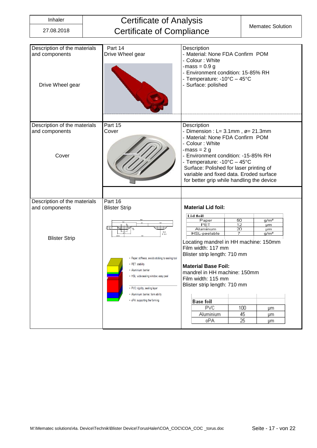| Description of the materials<br>and components<br>Drive Wheel gear | Part 14<br>Drive Wheel gear                                                                                                                                                                                                                                                                         | Description<br>- Material: None FDA Confirm POM<br>- Colour: White<br>-mass = $0.9$ g<br>- Environment condition: 15-85% RH<br>- Temperature: -10°C - 45°C<br>- Surface: polished                                                                                                                                                                      |
|--------------------------------------------------------------------|-----------------------------------------------------------------------------------------------------------------------------------------------------------------------------------------------------------------------------------------------------------------------------------------------------|--------------------------------------------------------------------------------------------------------------------------------------------------------------------------------------------------------------------------------------------------------------------------------------------------------------------------------------------------------|
| Description of the materials<br>and components<br>Cover            | Part 15<br>Cover                                                                                                                                                                                                                                                                                    | Description<br>- Dimension : $L = 3.1$ mm, $\varnothing = 21.3$ mm<br>- Material: None FDA Confirm POM<br>- Colour: White<br>-mass = $2$ g<br>- Environment condition: -15-85% RH<br>- Temperature: -10°C - 45°C<br>Surface: Polished for laser printing of<br>variable and fixed data. Eroded surface<br>for better grip while handling the device    |
|                                                                    |                                                                                                                                                                                                                                                                                                     |                                                                                                                                                                                                                                                                                                                                                        |
| Description of the materials<br>and components                     | Part 16<br><b>Blister Strip</b>                                                                                                                                                                                                                                                                     | <b>Material Lid foil:</b>                                                                                                                                                                                                                                                                                                                              |
| <b>Blister Strip</b>                                               | $\frac{1}{5}$ 5 $\frac{1}{5}$<br>B-B<br>M 10:1<br>• Paper: stiffness, avoids sticking to sealing tool<br>• PET: stability<br>· Aluminium: barrier<br>• HSL: wide sealing window, easy peel<br>• PVC: rigidity, sealing layer<br>· Aluminium: barrier, form ability<br>• oPA: supporting the forming | Lid foil<br>50<br>Paper<br>g/m <sup>2</sup><br>PET<br>12<br>µm<br>Aluminum<br>20<br>μm<br>HSL-peelable<br>7<br>$g/m^2$<br>Locating mandrel in HH machine: 150mm<br>Film width: 117 mm<br>Blister strip length: 710 mm<br><b>Material Base Foil:</b><br>mandrel in HH machine: 150mm<br>Film width: 115 mm<br>Blister strip length: 710 mm<br>Base foil |
|                                                                    |                                                                                                                                                                                                                                                                                                     | PVC<br>100<br>μm                                                                                                                                                                                                                                                                                                                                       |
|                                                                    |                                                                                                                                                                                                                                                                                                     | 45<br>Aluminium<br>μm<br>oPA<br>25<br>μm                                                                                                                                                                                                                                                                                                               |
|                                                                    |                                                                                                                                                                                                                                                                                                     |                                                                                                                                                                                                                                                                                                                                                        |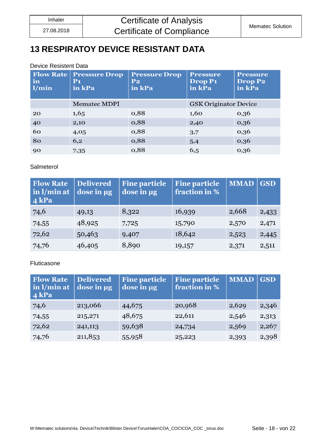### <span id="page-17-0"></span>**13 RESPIRATOY DEVICE RESISTANT DATA**

#### Device Resistent Data

| <b>Flow Rate</b><br>in<br>1/min | <b>Pressure Drop</b><br>P <sub>1</sub><br>in kPa | <b>Pressure Drop</b><br>$P_{2}$<br>in kPa | <b>Pressure</b><br>Drop P <sub>1</sub><br>in kPa | <b>Pressure</b><br>Drop P2<br>in kPa |
|---------------------------------|--------------------------------------------------|-------------------------------------------|--------------------------------------------------|--------------------------------------|
|                                 | <b>Mematec MDPI</b>                              |                                           | <b>GSK Originator Device</b>                     |                                      |
| 20                              | 1,65                                             | 0,88                                      | 1,60                                             | 0,36                                 |
| 40                              | 2,10                                             | 0,88                                      | 2,40                                             | 0,36                                 |
| 60                              | 4,05                                             | 0,88                                      | 3,7                                              | 0,36                                 |
| 80                              | 6,2                                              | 0,88                                      | 5,4                                              | 0,36                                 |
| 90                              | 7,35                                             | 0,88                                      | 6,5                                              | 0,36                                 |

#### Salmeterol

| <b>Flow Rate</b><br>in l/min at<br>$4$ kPa | <b>Delivered</b><br>dose in ug | <b>Fine particle</b><br>dose in µg | <b>Fine particle</b><br>fraction in % | <b>MMAD</b> | <b>GSD</b> |
|--------------------------------------------|--------------------------------|------------------------------------|---------------------------------------|-------------|------------|
| 74,6                                       | 49,13                          | 8,322                              | 16,939                                | 2,668       | 2,433      |
| 74,55                                      | 48,925                         | 7,725                              | 15,790                                | 2,570       | 2,471      |
| 72,62                                      | 50,463                         | 9,407                              | 18,642                                | 2,523       | 2,445      |
| 74,76                                      | 46,405                         | 8,890                              | 19,157                                | 2,371       | 2,511      |

#### Fluticasone

| <b>Flow Rate</b><br>in $l/min$ at<br>$4$ kPa | <b>Delivered</b><br>dose in µg | <b>Fine particle</b><br>dose in µg | <b>Fine particle</b><br>fraction in % | <b>MMAD</b> | <b>GSD</b> |
|----------------------------------------------|--------------------------------|------------------------------------|---------------------------------------|-------------|------------|
| 74,6                                         | 213,066                        | 44,675                             | 20,968                                | 2,629       | 2,346      |
| 74,55                                        | 215,271                        | 48,675                             | 22,611                                | 2,546       | 2,313      |
| 72,62                                        | 241,113                        | 59,638                             | 24,734                                | 2,569       | 2,267      |
| 74,76                                        | 211,853                        | 55,958                             | 25,223                                | 2,393       | 2,398      |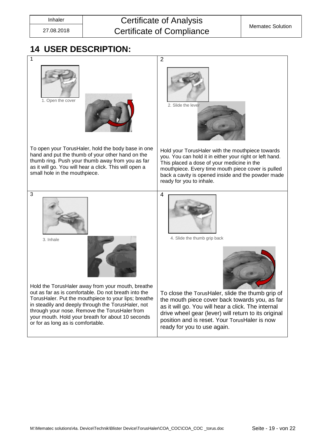### Inhaler **Certificate of Analysis** Certificate of Compliance Mematec Solution

### <span id="page-18-0"></span>**14 USER DESCRIPTION:**

| 1                                                                                                                                                                                                                                                                                                                                                                  | $\overline{2}$                                                                                                                                                                                                                                                                                    |
|--------------------------------------------------------------------------------------------------------------------------------------------------------------------------------------------------------------------------------------------------------------------------------------------------------------------------------------------------------------------|---------------------------------------------------------------------------------------------------------------------------------------------------------------------------------------------------------------------------------------------------------------------------------------------------|
| 1. Open the cover                                                                                                                                                                                                                                                                                                                                                  | 2. Slide the lever                                                                                                                                                                                                                                                                                |
| To open your TorusHaler, hold the body base in one<br>hand and put the thumb of your other hand on the<br>thumb ring. Push your thumb away from you as far<br>as it will go. You will hear a click. This will open a<br>small hole in the mouthpiece.                                                                                                              | Hold your TorusHaler with the mouthpiece towards<br>you. You can hold it in either your right or left hand.<br>This placed a dose of your medicine in the<br>mouthpiece. Every time mouth piece cover is pulled<br>back a cavity is opened inside and the powder made<br>ready for you to inhale. |
| 3<br>3. Inhale                                                                                                                                                                                                                                                                                                                                                     | 4<br>4. Slide the thumb grip back                                                                                                                                                                                                                                                                 |
| Hold the TorusHaler away from your mouth, breathe<br>out as far as is comfortable. Do not breath into the<br>TorusHaler. Put the mouthpiece to your lips; breathe<br>in steadily and deeply through the TorusHaler, not<br>through your nose. Remove the TorusHaler from<br>your mouth. Hold your breath for about 10 seconds<br>or for as long as is comfortable. | To close the TorusHaler, slide the thumb grip of<br>the mouth piece cover back towards you, as far<br>as it will go. You will hear a click. The internal<br>drive wheel gear (lever) will return to its original<br>position and is reset. Your TorusHaler is now<br>ready for you to use again.  |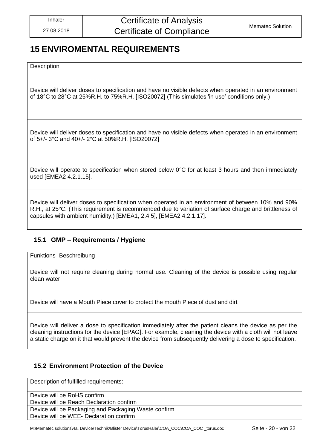### <span id="page-19-0"></span>**15 ENVIROMENTAL REQUIREMENTS**

**Description** 

Device will deliver doses to specification and have no visible defects when operated in an environment of 18°C to 28°C at 25%R.H. to 75%R.H. [ISO20072] (This simulates 'in use' conditions only.)

Device will deliver doses to specification and have no visible defects when operated in an environment of 5+/- 3°C and 40+/- 2°C at 50%R.H. [ISO20072]

Device will operate to specification when stored below 0°C for at least 3 hours and then immediately used [EMEA2 4.2.1.15].

Device will deliver doses to specification when operated in an environment of between 10% and 90% R.H., at 25°C. (This requirement is recommended due to variation of surface charge and brittleness of capsules with ambient humidity.) [EMEA1, 2.4.5], [EMEA2 4.2.1.17].

#### <span id="page-19-1"></span>**15.1 GMP – Requirements / Hygiene**

Funktions- Beschreibung

Device will not require cleaning during normal use. Cleaning of the device is possible using regular clean water

Device will have a Mouth Piece cover to protect the mouth Piece of dust and dirt

Device will deliver a dose to specification immediately after the patient cleans the device as per the cleaning instructions for the device [EPAG]. For example, cleaning the device with a cloth will not leave a static charge on it that would prevent the device from subsequently delivering a dose to specification.

#### <span id="page-19-2"></span>**15.2 Environment Protection of the Device**

Description of fulfilled requirements:

Device will be RoHS confirm

Device will be Reach Declaration confirm

Device will be Packaging and Packaging Waste confirm

Device will be WEE- Declaration confirm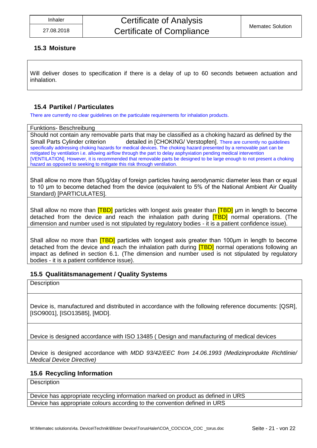#### <span id="page-20-0"></span>**15.3 Moisture**

Will deliver doses to specification if there is a delay of up to 60 seconds between actuation and inhalation.

#### <span id="page-20-1"></span>**15.4 Partikel / Particulates**

There are currently no clear guidelines on the particulate requirements for inhalation products.

#### Funktions- Beschreibung

Should not contain any removable parts that may be classified as a choking hazard as defined by the Small Parts Cylinder criterion detailed in [CHOKING/ Verstopfen]. There are currently no quidelines specifically addressing choking hazards for medical devices. The choking hazard presented by a removable part can be mitigated by ventilation i.e. allowing airflow through the part to delay asphyxiation pending medical intervention [VENTILATION]. However, it is recommended that removable parts be designed to be large enough to not present a choking hazard as opposed to seeking to mitigate this risk through ventilation.

Shall allow no more than 50μg/day of foreign particles having aerodynamic diameter less than or equal to 10 μm to become detached from the device (equivalent to 5% of the National Ambient Air Quality Standard) [PARTICULATES].

Shall allow no more than **[TBD]** particles with longest axis greater than **[TBD]** µm in length to become detached from the device and reach the inhalation path during **[TBD]** normal operations. (The dimension and number used is not stipulated by regulatory bodies - it is a patient confidence issue).

Shall allow no more than [TBD] particles with longest axis greater than 100μm in length to become detached from the device and reach the inhalation path during **[TBD]** normal operations following an impact as defined in section 6.1. (The dimension and number used is not stipulated by regulatory bodies - it is a patient confidence issue).

#### <span id="page-20-2"></span>**15.5 Qualitätsmanagement / Quality Systems**

**Description** 

Device is, manufactured and distributed in accordance with the following reference documents: [QSR], [ISO9001], [ISO13585], [MDD].

Device is designed accordance with ISO 13485 ( Design and manufacturing of medical devices

Device is designed accordance with *MDD 93/42/EEC from 14.06.1993 (Medizinprodukte Richtlinie/ Medical Device Directive)*

#### <span id="page-20-3"></span>**15.6 Recycling Information**

**Description** 

Device has appropriate recycling information marked on product as defined in URS Device has appropriate colours according to the convention defined in URS